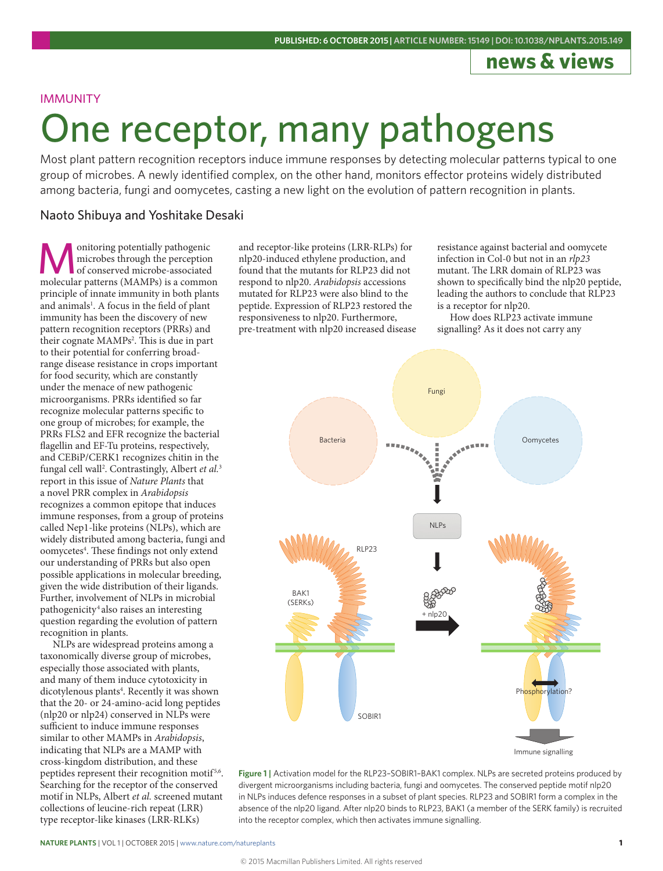## **news & views**

### IMMUNITY

# One receptor, many pathogens

Most plant pattern recognition receptors induce immune responses by detecting molecular patterns typical to one group of microbes. A newly identified complex, on the other hand, monitors effector proteins widely distributed among bacteria, fungi and oomycetes, casting a new light on the evolution of pattern recognition in plants.

### Naoto Shibuya and Yoshitake Desaki

**M**onitoring potentially pathogenic<br>
of conserved microbe-associated<br>
molecular natterns (MAMPs) is a common microbes through the perception molecular patterns (MAMPs) is a common principle of innate immunity in both plants and animals<sup>1</sup>. A focus in the field of plant immunity has been the discovery of new pattern recognition receptors (PRRs) and their cognate MAMPs<sup>2</sup>. This is due in part to their potential for conferring broadrange disease resistance in crops important for food security, which are constantly under the menace of new pathogenic microorganisms. PRRs identified so far recognize molecular patterns specific to one group of microbes; for example, the PRRs FLS2 and EFR recognize the bacterial flagellin and EF-Tu proteins, respectively, and CEBiP/CERK1 recognizes chitin in the fungal cell wall2 . Contrastingly, Albert *et al.*<sup>3</sup> report in this issue of *Nature Plants* that a novel PRR complex in *Arabidopsis* recognizes a common epitope that induces immune responses, from a group of proteins called Nep1-like proteins (NLPs), which are widely distributed among bacteria, fungi and oomycetes<sup>4</sup>. These findings not only extend our understanding of PRRs but also open possible applications in molecular breeding, given the wide distribution of their ligands. Further, involvement of NLPs in microbial pathogenicity4 also raises an interesting question regarding the evolution of pattern recognition in plants.

NLPs are widespread proteins among a taxonomically diverse group of microbes, especially those associated with plants, and many of them induce cytotoxicity in dicotylenous plants<sup>4</sup>. Recently it was shown that the 20- or 24-amino-acid long peptides (nlp20 or nlp24) conserved in NLPs were sufficient to induce immune responses similar to other MAMPs in *Arabidopsis*, indicating that NLPs are a MAMP with cross-kingdom distribution, and these peptides represent their recognition motif<sup>5,6</sup>. Searching for the receptor of the conserved motif in NLPs, Albert *et al.* screened mutant collections of leucine-rich repeat (LRR) type receptor-like kinases (LRR-RLKs)

and receptor-like proteins (LRR-RLPs) for nlp20-induced ethylene production, and found that the mutants for RLP23 did not respond to nlp20. *Arabidopsis* accessions mutated for RLP23 were also blind to the peptide. Expression of RLP23 restored the responsiveness to nlp20. Furthermore, pre-treatment with nlp20 increased disease

resistance against bacterial and oomycete infection in Col-0 but not in an *rlp23* mutant. The LRR domain of RLP23 was shown to specifically bind the nlp20 peptide, leading the authors to conclude that RLP23 is a receptor for nlp20.

How does RLP23 activate immune signalling? As it does not carry any



**Figure 1 |** Activation model for the RLP23–SOBIR1–BAK1 complex. NLPs are secreted proteins produced by divergent microorganisms including bacteria, fungi and oomycetes. The conserved peptide motif nlp20 in NLPs induces defence responses in a subset of plant species. RLP23 and SOBIR1 form a complex in the absence of the nlp20 ligand. After nlp20 binds to RLP23, BAK1 (a member of the SERK family) is recruited into the receptor complex, which then activates immune signalling.